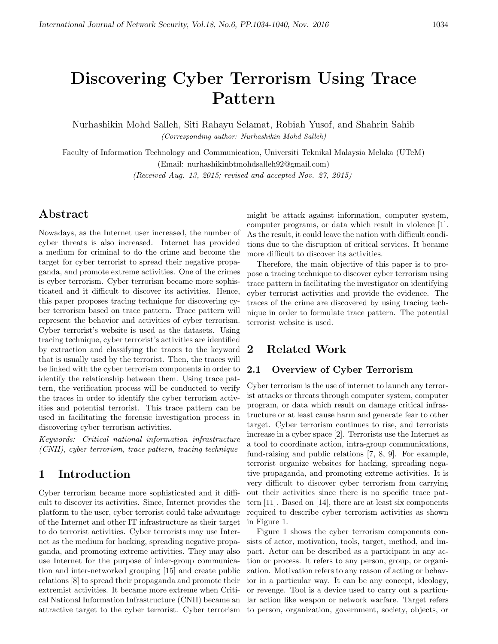# Discovering Cyber Terrorism Using Trace Pattern

Nurhashikin Mohd Salleh, Siti Rahayu Selamat, Robiah Yusof, and Shahrin Sahib (Corresponding author: Nurhashikin Mohd Salleh)

Faculty of Information Technology and Communication, Universiti Teknikal Malaysia Melaka (UTeM) (Email: nurhashikinbtmohdsalleh92@gmail.com)

(Received Aug. 13, 2015; revised and accepted Nov. 27, 2015)

# Abstract

Nowadays, as the Internet user increased, the number of cyber threats is also increased. Internet has provided a medium for criminal to do the crime and become the target for cyber terrorist to spread their negative propaganda, and promote extreme activities. One of the crimes is cyber terrorism. Cyber terrorism became more sophisticated and it difficult to discover its activities. Hence, this paper proposes tracing technique for discovering cyber terrorism based on trace pattern. Trace pattern will represent the behavior and activities of cyber terrorism. Cyber terrorist's website is used as the datasets. Using tracing technique, cyber terrorist's activities are identified by extraction and classifying the traces to the keyword that is usually used by the terrorist. Then, the traces will be linked with the cyber terrorism components in order to identify the relationship between them. Using trace pattern, the verification process will be conducted to verify the traces in order to identify the cyber terrorism activities and potential terrorist. This trace pattern can be used in facilitating the forensic investigation process in discovering cyber terrorism activities.

Keywords: Critical national information infrastructure (CNII), cyber terrorism, trace pattern, tracing technique

# 1 Introduction

Cyber terrorism became more sophisticated and it difficult to discover its activities. Since, Internet provides the platform to the user, cyber terrorist could take advantage of the Internet and other IT infrastructure as their target to do terrorist activities. Cyber terrorists may use Internet as the medium for hacking, spreading negative propaganda, and promoting extreme activities. They may also use Internet for the purpose of inter-group communication and inter-networked grouping [15] and create public relations [8] to spread their propaganda and promote their extremist activities. It became more extreme when Critical National Information Infrastructure (CNII) became an attractive target to the cyber terrorist. Cyber terrorism

might be attack against information, computer system, computer programs, or data which result in violence [1]. As the result, it could leave the nation with difficult conditions due to the disruption of critical services. It became more difficult to discover its activities.

Therefore, the main objective of this paper is to propose a tracing technique to discover cyber terrorism using trace pattern in facilitating the investigator on identifying cyber terrorist activities and provide the evidence. The traces of the crime are discovered by using tracing technique in order to formulate trace pattern. The potential terrorist website is used.

### 2 Related Work

### 2.1 Overview of Cyber Terrorism

Cyber terrorism is the use of internet to launch any terrorist attacks or threats through computer system, computer program, or data which result on damage critical infrastructure or at least cause harm and generate fear to other target. Cyber terrorism continues to rise, and terrorists increase in a cyber space [2]. Terrorists use the Internet as a tool to coordinate action, intra-group communications, fund-raising and public relations [7, 8, 9]. For example, terrorist organize websites for hacking, spreading negative propaganda, and promoting extreme activities. It is very difficult to discover cyber terrorism from carrying out their activities since there is no specific trace pattern [11]. Based on [14], there are at least six components required to describe cyber terrorism activities as shown in Figure 1.

Figure 1 shows the cyber terrorism components consists of actor, motivation, tools, target, method, and impact. Actor can be described as a participant in any action or process. It refers to any person, group, or organization. Motivation refers to any reason of acting or behavior in a particular way. It can be any concept, ideology, or revenge. Tool is a device used to carry out a particular action like weapon or network warfare. Target refers to person, organization, government, society, objects, or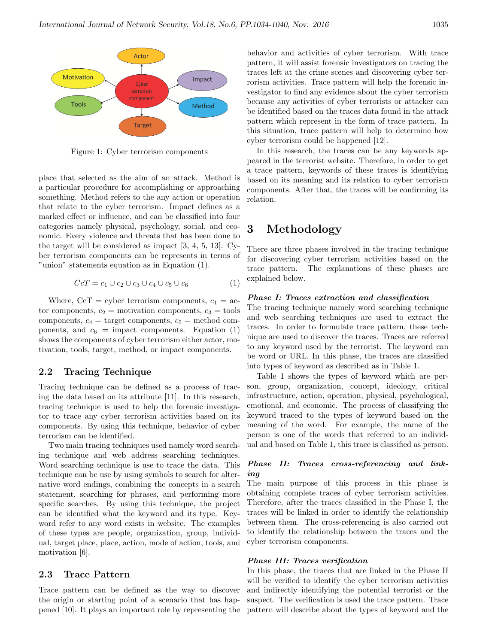

Figure 1: Cyber terrorism components

place that selected as the aim of an attack. Method is a particular procedure for accomplishing or approaching something. Method refers to the any action or operation that relate to the cyber terrorism. Impact defines as a marked effect or influence, and can be classified into four categories namely physical, psychology, social, and economic. Every violence and threats that has been done to the target will be considered as impact [3, 4, 5, 13]. Cyber terrorism components can be represents in terms of "union" statements equation as in Equation (1).

$$
CcT = c_1 \cup c_2 \cup c_3 \cup c_4 \cup c_5 \cup c_6 \tag{1}
$$

Where,  $CcT = cyber$  terrorism components,  $c_1 = ac$ tor components,  $c_2$  = motivation components,  $c_3$  = tools components,  $c_4$  = target components,  $c_5$  = method components, and  $c_6$  = impact components. Equation (1) shows the components of cyber terrorism either actor, motivation, tools, target, method, or impact components.

#### 2.2 Tracing Technique

Tracing technique can be defined as a process of tracing the data based on its attribute [11]. In this research, tracing technique is used to help the forensic investigator to trace any cyber terrorism activities based on its components. By using this technique, behavior of cyber terrorism can be identified.

Two main tracing techniques used namely word searching technique and web address searching techniques. Word searching technique is use to trace the data. This technique can be use by using symbols to search for alternative word endings, combining the concepts in a search statement, searching for phrases, and performing more specific searches. By using this technique, the project can be identified what the keyword and its type. Keyword refer to any word exists in website. The examples of these types are people, organization, group, individual, target place, place, action, mode of action, tools, and motivation [6].

#### 2.3 Trace Pattern

Trace pattern can be defined as the way to discover the origin or starting point of a scenario that has happened [10]. It plays an important role by representing the behavior and activities of cyber terrorism. With trace pattern, it will assist forensic investigators on tracing the traces left at the crime scenes and discovering cyber terrorism activities. Trace pattern will help the forensic investigator to find any evidence about the cyber terrorism because any activities of cyber terrorists or attacker can be identified based on the traces data found in the attack pattern which represent in the form of trace pattern. In this situation, trace pattern will help to determine how cyber terrorism could be happened [12].

In this research, the traces can be any keywords appeared in the terrorist website. Therefore, in order to get a trace pattern, keywords of these traces is identifying based on its meaning and its relation to cyber terrorism components. After that, the traces will be confirming its relation.

# 3 Methodology

There are three phases involved in the tracing technique for discovering cyber terrorism activities based on the trace pattern. The explanations of these phases are explained below.

#### Phase I: Traces extraction and classification

The tracing technique namely word searching technique and web searching techniques are used to extract the traces. In order to formulate trace pattern, these technique are used to discover the traces. Traces are referred to any keyword used by the terrorist. The keyword can be word or URL. In this phase, the traces are classified into types of keyword as described as in Table 1.

Table 1 shows the types of keyword which are person, group, organization, concept, ideology, critical infrastructure, action, operation, physical, psychological, emotional, and economic. The process of classifying the keyword traced to the types of keyword based on the meaning of the word. For example, the name of the person is one of the words that referred to an individual and based on Table 1, this trace is classified as person.

#### Phase II: Traces cross-referencing and linking

The main purpose of this process in this phase is obtaining complete traces of cyber terrorism activities. Therefore, after the traces classified in the Phase I, the traces will be linked in order to identify the relationship between them. The cross-referencing is also carried out to identify the relationship between the traces and the cyber terrorism components.

#### Phase III: Traces verification

In this phase, the traces that are linked in the Phase II will be verified to identify the cyber terrorism activities and indirectly identifying the potential terrorist or the suspect. The verification is used the trace pattern. Trace pattern will describe about the types of keyword and the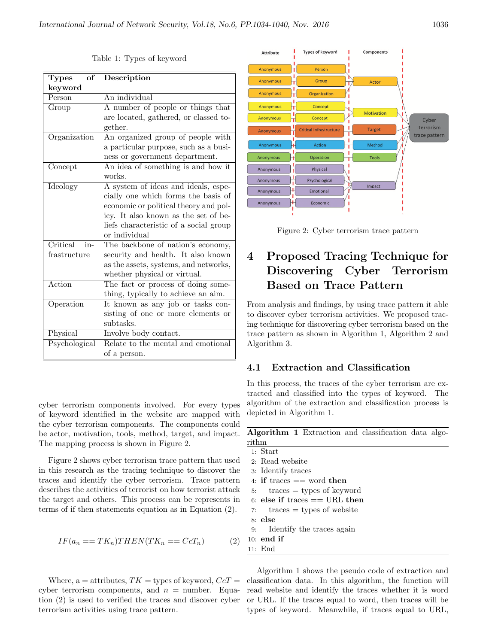| Types<br>of     | Description                            |  |  |
|-----------------|----------------------------------------|--|--|
| keyword         |                                        |  |  |
| Person          | An individual                          |  |  |
| Group           | A number of people or things that      |  |  |
|                 | are located, gathered, or classed to-  |  |  |
|                 | gether.                                |  |  |
| Organization    | An organized group of people with      |  |  |
|                 | a particular purpose, such as a busi-  |  |  |
|                 | ness or government department.         |  |  |
| Concept         | An idea of something is and how it     |  |  |
|                 | works.                                 |  |  |
| Ideology        | A system of ideas and ideals, espe-    |  |  |
|                 | cially one which forms the basis of    |  |  |
|                 | economic or political theory and pol-  |  |  |
|                 | icy. It also known as the set of be-   |  |  |
|                 | liefs characteristic of a social group |  |  |
|                 | or individual                          |  |  |
| Critical<br>in- | The backbone of nation's economy,      |  |  |
| frastructure    | security and health. It also known     |  |  |
|                 | as the assets, systems, and networks,  |  |  |
|                 | whether physical or virtual.           |  |  |
| Action          | The fact or process of doing some-     |  |  |
|                 | thing, typically to achieve an aim.    |  |  |
| Operation       | It known as any job or tasks con-      |  |  |
|                 | sisting of one or more elements or     |  |  |
|                 | subtasks.                              |  |  |
| Physical        | Involve body contact.                  |  |  |
| Psychological   | Relate to the mental and emotional     |  |  |
|                 | of a person.                           |  |  |

Table 1: Types of keyword

cyber terrorism components involved. For every types of keyword identified in the website are mapped with the cyber terrorism components. The components could be actor, motivation, tools, method, target, and impact. The mapping process is shown in Figure 2.

Figure 2 shows cyber terrorism trace pattern that used in this research as the tracing technique to discover the traces and identify the cyber terrorism. Trace pattern describes the activities of terrorist on how terrorist attack the target and others. This process can be represents in terms of if then statements equation as in Equation (2).

$$
IF(a_n == TK_n) THEN(TK_n == CcT_n)
$$
 (2)

Where, a = attributes,  $TK =$  types of keyword,  $CcT =$ cyber terrorism components, and  $n =$  number. Equation (2) is used to verified the traces and discover cyber terrorism activities using trace pattern.



Figure 2: Cyber terrorism trace pattern

# 4 Proposed Tracing Technique for Discovering Cyber Terrorism Based on Trace Pattern

From analysis and findings, by using trace pattern it able to discover cyber terrorism activities. We proposed tracing technique for discovering cyber terrorism based on the trace pattern as shown in Algorithm 1, Algorithm 2 and Algorithm 3.

### 4.1 Extraction and Classification

In this process, the traces of the cyber terrorism are extracted and classified into the types of keyword. The algorithm of the extraction and classification process is depicted in Algorithm 1.

|                |  | Algorithm 1 Extraction and classification data algo- |  |
|----------------|--|------------------------------------------------------|--|
| $\text{rithm}$ |  |                                                      |  |

1: Start 2: Read website 3: Identify traces 4: if traces  $==$  word then  $5:$  traces  $=$  types of keyword 6: else if traces  $==$  URL then 7:  $\text{traces} = \text{types of website}$ 8: else 9: Identify the traces again 10: end if 11: End

Algorithm 1 shows the pseudo code of extraction and classification data. In this algorithm, the function will read website and identify the traces whether it is word or URL. If the traces equal to word, then traces will be types of keyword. Meanwhile, if traces equal to URL,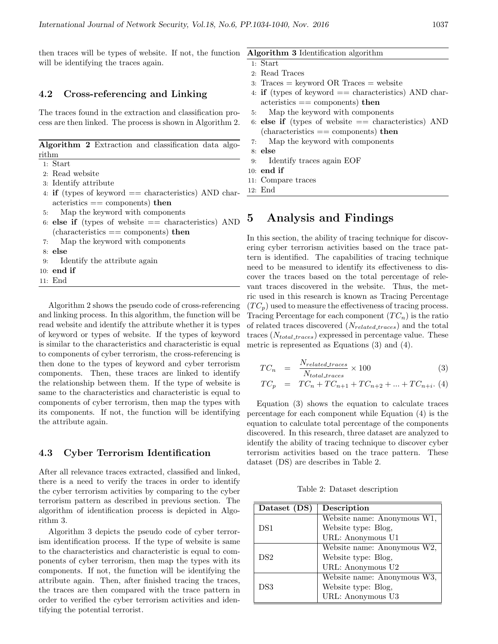then traces will be types of website. If not, the function will be identifying the traces again.

#### 4.2 Cross-referencing and Linking

The traces found in the extraction and classification process are then linked. The process is shown in Algorithm 2.

Algorithm 2 Extraction and classification data algorithm

| таг |
|-----|
|     |

- 2: Read website
- 3: Identify attribute
- 4: if (types of keyword  $==$  characteristics) AND char- $\alpha$  acteristics  $==$  components) then
- 5: Map the keyword with components
- 6: else if (types of website  $==$  characteristics) AND  $(characteristics == components)$  then
- 7: Map the keyword with components
- 8: else
- 9: Identify the attribute again
- 10: end if
- 11: End

Algorithm 2 shows the pseudo code of cross-referencing and linking process. In this algorithm, the function will be read website and identify the attribute whether it is types of keyword or types of website. If the types of keyword is similar to the characteristics and characteristic is equal to components of cyber terrorism, the cross-referencing is then done to the types of keyword and cyber terrorism components. Then, these traces are linked to identify the relationship between them. If the type of website is same to the characteristics and characteristic is equal to components of cyber terrorism, then map the types with its components. If not, the function will be identifying the attribute again.

#### 4.3 Cyber Terrorism Identification

After all relevance traces extracted, classified and linked, there is a need to verify the traces in order to identify the cyber terrorism activities by comparing to the cyber terrorism pattern as described in previous section. The algorithm of identification process is depicted in Algorithm 3.

Algorithm 3 depicts the pseudo code of cyber terrorism identification process. If the type of website is same to the characteristics and characteristic is equal to components of cyber terrorism, then map the types with its components. If not, the function will be identifying the attribute again. Then, after finished tracing the traces, the traces are then compared with the trace pattern in order to verified the cyber terrorism activities and identifying the potential terrorist.

#### Algorithm 3 Identification algorithm

- 1: Start 2: Read Traces
- 
- 3: Traces = keyword OR Traces = website
- 4: **if** (types of keyword  $=$  characteristics) AND characteristics == components) then
- 5: Map the keyword with components
- 6: else if (types of website  $==$  characteristics) AND  $(characteristics == components)$  then
- 7: Map the keyword with components
- 8: else
- 9: Identify traces again EOF
- 10: end if
- 11: Compare traces
- 12: End

### 5 Analysis and Findings

In this section, the ability of tracing technique for discovering cyber terrorism activities based on the trace pattern is identified. The capabilities of tracing technique need to be measured to identify its effectiveness to discover the traces based on the total percentage of relevant traces discovered in the website. Thus, the metric used in this research is known as Tracing Percentage  $(T C_p)$  used to measure the effectiveness of tracing process. Tracing Percentage for each component  $(T C_n)$  is the ratio of related traces discovered  $(N_{related\text{-}traces})$  and the total traces  $(N_{total\_traces})$  expressed in percentage value. These metric is represented as Equations (3) and (4).

$$
TC_n = \frac{N_{related\text{.trace}}}{N_{total\text{.trace}}} \times 100 \tag{3}
$$

$$
TC_p = TC_n + TC_{n+1} + TC_{n+2} + \dots + TC_{n+i}. \tag{4}
$$

Equation (3) shows the equation to calculate traces percentage for each component while Equation (4) is the equation to calculate total percentage of the components discovered. In this research, three dataset are analyzed to identify the ability of tracing technique to discover cyber terrorism activities based on the trace pattern. These dataset (DS) are describes in Table 2.

Table 2: Dataset description

| Dataset (DS)    | Description                 |  |
|-----------------|-----------------------------|--|
|                 | Website name: Anonymous W1, |  |
| DS1             | Website type: Blog,         |  |
|                 | URL: Anonymous U1           |  |
|                 | Website name: Anonymous W2, |  |
| DS <sub>2</sub> | Website type: Blog,         |  |
|                 | URL: Anonymous U2           |  |
|                 | Website name: Anonymous W3, |  |
| DS3             | Website type: Blog,         |  |
|                 | URL: Anonymous U3           |  |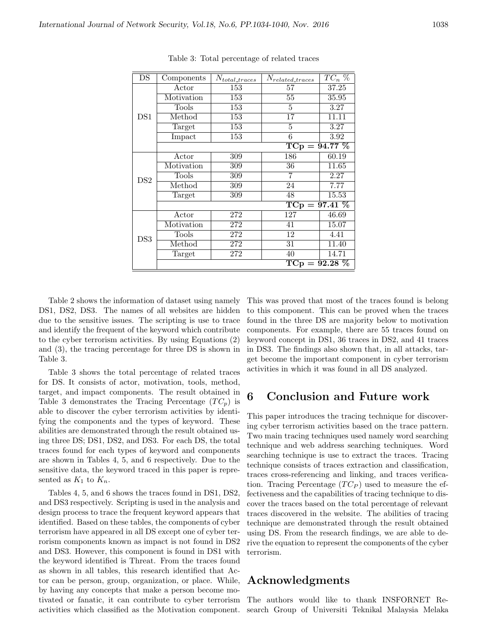| DS              | Components       | $N_{total\_traces}$ | $N_{related\_{traces}}$ | $TC_n$ % |  |  |
|-----------------|------------------|---------------------|-------------------------|----------|--|--|
|                 | Actor            | 153                 | 57                      | 37.25    |  |  |
|                 | Motivation       | 153                 | 55                      | 35.95    |  |  |
|                 | Tools            | $\overline{153}$    | 5                       | 3.27     |  |  |
| DS1             | Method           | 153                 | 17                      | 11.11    |  |  |
|                 | Target           | 153                 | 5                       | 3.27     |  |  |
|                 | Impact           | 153                 | 6                       | 3.92     |  |  |
|                 | $TCp = 94.77 \%$ |                     |                         |          |  |  |
| DS <sub>2</sub> | Actor            | 309                 | 186                     | 60.19    |  |  |
|                 | Motivation       | 309                 | 36                      | 11.65    |  |  |
|                 | Tools            | 309                 | 7                       | 2.27     |  |  |
|                 | Method           | 309                 | 24                      | 7.77     |  |  |
|                 | Target           | 309                 | 48                      | 15.53    |  |  |
|                 | $TCp = 97.41 \%$ |                     |                         |          |  |  |
|                 | Actor            | 272                 | 127                     | 46.69    |  |  |
|                 | Motivation       | 272                 | 41                      | 15.07    |  |  |
| DS3             | Tools            | 272                 | 12                      | 4.41     |  |  |
|                 | Method           | 272                 | 31                      | 11.40    |  |  |
|                 | Target           | 272                 | 40                      | 14.71    |  |  |
|                 |                  |                     | $TCp = 92.28 \%$        |          |  |  |

Table 3: Total percentage of related traces

Table 2 shows the information of dataset using namely DS1, DS2, DS3. The names of all websites are hidden due to the sensitive issues. The scripting is use to trace and identify the frequent of the keyword which contribute to the cyber terrorism activities. By using Equations (2) and (3), the tracing percentage for three DS is shown in Table 3.

Table 3 shows the total percentage of related traces for DS. It consists of actor, motivation, tools, method, target, and impact components. The result obtained in Table 3 demonstrates the Tracing Percentage  $(T C_p)$  is able to discover the cyber terrorism activities by identifying the components and the types of keyword. These abilities are demonstrated through the result obtained using three DS; DS1, DS2, and DS3. For each DS, the total traces found for each types of keyword and components are shown in Tables 4, 5, and 6 respectively. Due to the sensitive data, the keyword traced in this paper is represented as  $K_1$  to  $K_n$ .

Tables 4, 5, and 6 shows the traces found in DS1, DS2, and DS3 respectively. Scripting is used in the analysis and design process to trace the frequent keyword appears that identified. Based on these tables, the components of cyber terrorism have appeared in all DS except one of cyber terrorism components known as impact is not found in DS2 and DS3. However, this component is found in DS1 with the keyword identified is Threat. From the traces found as shown in all tables, this research identified that Actor can be person, group, organization, or place. While, by having any concepts that make a person become motivated or fanatic, it can contribute to cyber terrorism activities which classified as the Motivation component. This was proved that most of the traces found is belong to this component. This can be proved when the traces found in the three DS are majority below to motivation components. For example, there are 55 traces found on keyword concept in DS1, 36 traces in DS2, and 41 traces in DS3. The findings also shown that, in all attacks, target become the important component in cyber terrorism activities in which it was found in all DS analyzed.

# 6 Conclusion and Future work

This paper introduces the tracing technique for discovering cyber terrorism activities based on the trace pattern. Two main tracing techniques used namely word searching technique and web address searching techniques. Word searching technique is use to extract the traces. Tracing technique consists of traces extraction and classification, traces cross-referencing and linking, and traces verification. Tracing Percentage  $(T C_P)$  used to measure the effectiveness and the capabilities of tracing technique to discover the traces based on the total percentage of relevant traces discovered in the website. The abilities of tracing technique are demonstrated through the result obtained using DS. From the research findings, we are able to derive the equation to represent the components of the cyber terrorism.

## Acknowledgments

The authors would like to thank INSFORNET Research Group of Universiti Teknikal Malaysia Melaka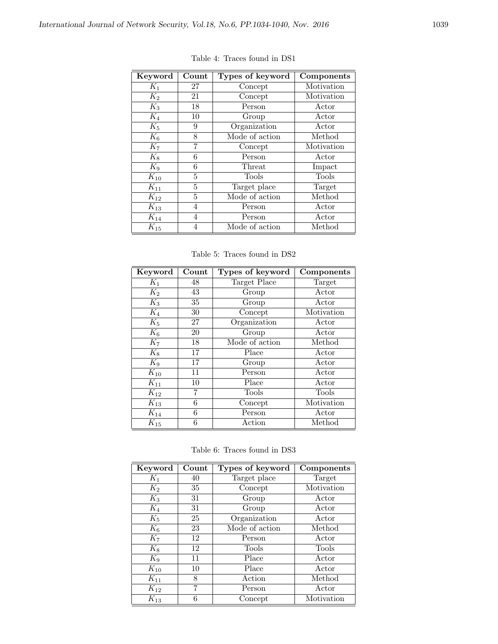| Keyword  | Count | Types of keyword | Components |
|----------|-------|------------------|------------|
| $K_1$    | 27    | Concept          | Motivation |
| $K_2$    | 21    | Concept          | Motivation |
| $K_3$    | 18    | Person           | Actor      |
| $K_4$    | 10    | Group            | Actor      |
| $K_5$    | 9     | Organization     | Actor      |
| $K_6$    | 8     | Mode of action   | Method     |
| $K_7$    | 7     | Concept          | Motivation |
| $K_8$    | 6     | Person           | Actor      |
| $K_9$    | 6     | Threat           | Impact     |
| $K_{10}$ | 5     | Tools            | Tools      |
| $K_{11}$ | 5     | Target place     | Target     |
| $K_{12}$ | 5     | Mode of action   | Method     |
| $K_{13}$ | 4     | Person           | Actor      |
| $K_{14}$ | 4     | Person           | Actor      |
| $K_{15}$ | 4     | Mode of action   | Method     |

Table 4: Traces found in DS1

Table 5: Traces found in DS2

| Keyword  | Count | Types of keyword | Components |
|----------|-------|------------------|------------|
| $K_1$    | 48    | Target Place     | Target     |
| $K_2$    | 43    | Group            | Actor      |
| $K_3$    | 35    | Group            | Actor      |
| $K_4$    | 30    | Concept          | Motivation |
| $K_5$    | 27    | Organization     | Actor      |
| $K_6$    | 20    | Group            | Actor      |
| $K_7$    | 18    | Mode of action   | Method     |
| $K_8$    | 17    | Place            | Actor      |
| $K_9$    | 17    | Group            | Actor      |
| $K_{10}$ | 11    | Person           | Actor      |
| $K_{11}$ | 10    | Place            | Actor      |
| $K_{12}$ | 7     | Tools            | Tools      |
| $K_{13}$ | 6     | Concept          | Motivation |
| $K_{14}$ | 6     | Person           | Actor      |
| $K_{15}$ | 6     | Action           | Method     |

Table 6: Traces found in DS3

| Keyword  | Count | Types of keyword | <b>Components</b> |
|----------|-------|------------------|-------------------|
| $K_1$    | 40    | Target place     | Target            |
| $K_2$    | 35    | Concept          | Motivation        |
| $K_3$    | 31    | Group            | Actor             |
| $K_4$    | 31    | Group            | Actor             |
| $K_5$    | 25    | Organization     | Actor             |
| $K_6$    | 23    | Mode of action   | Method            |
| $K_7$    | 12    | Person           | Actor             |
| $K_8$    | 12    | Tools            | Tools             |
| $K_9$    | 11    | Place            | Actor             |
| $K_{10}$ | 10    | Place            | Actor             |
| $K_{11}$ | 8     | Action           | Method            |
| $K_{12}$ | 7     | Person           | Actor             |
| $K_{13}$ | 6     | Concept          | Motivation        |